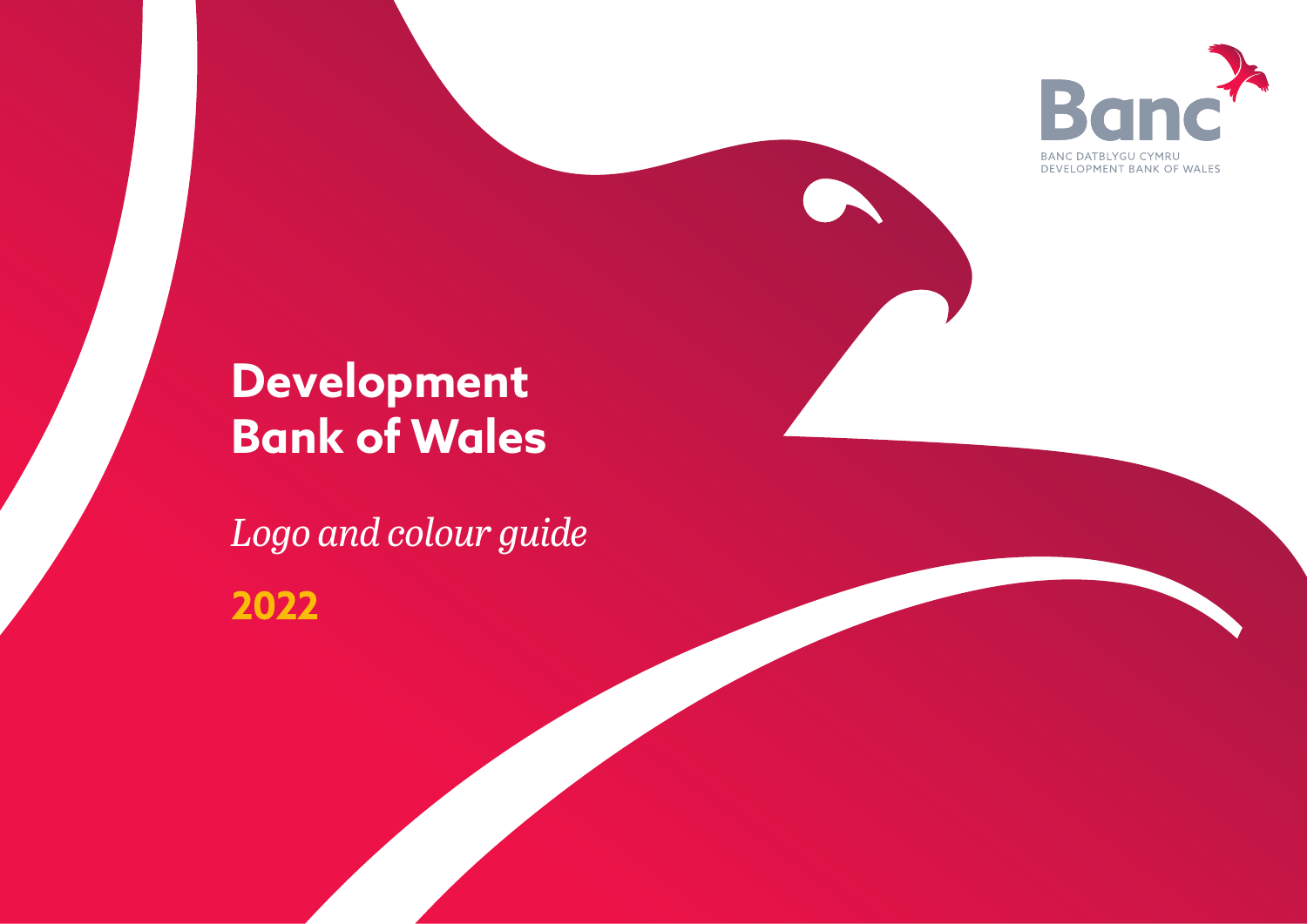

# **Development Bank of Wales**

*Logo and colour guide* 2022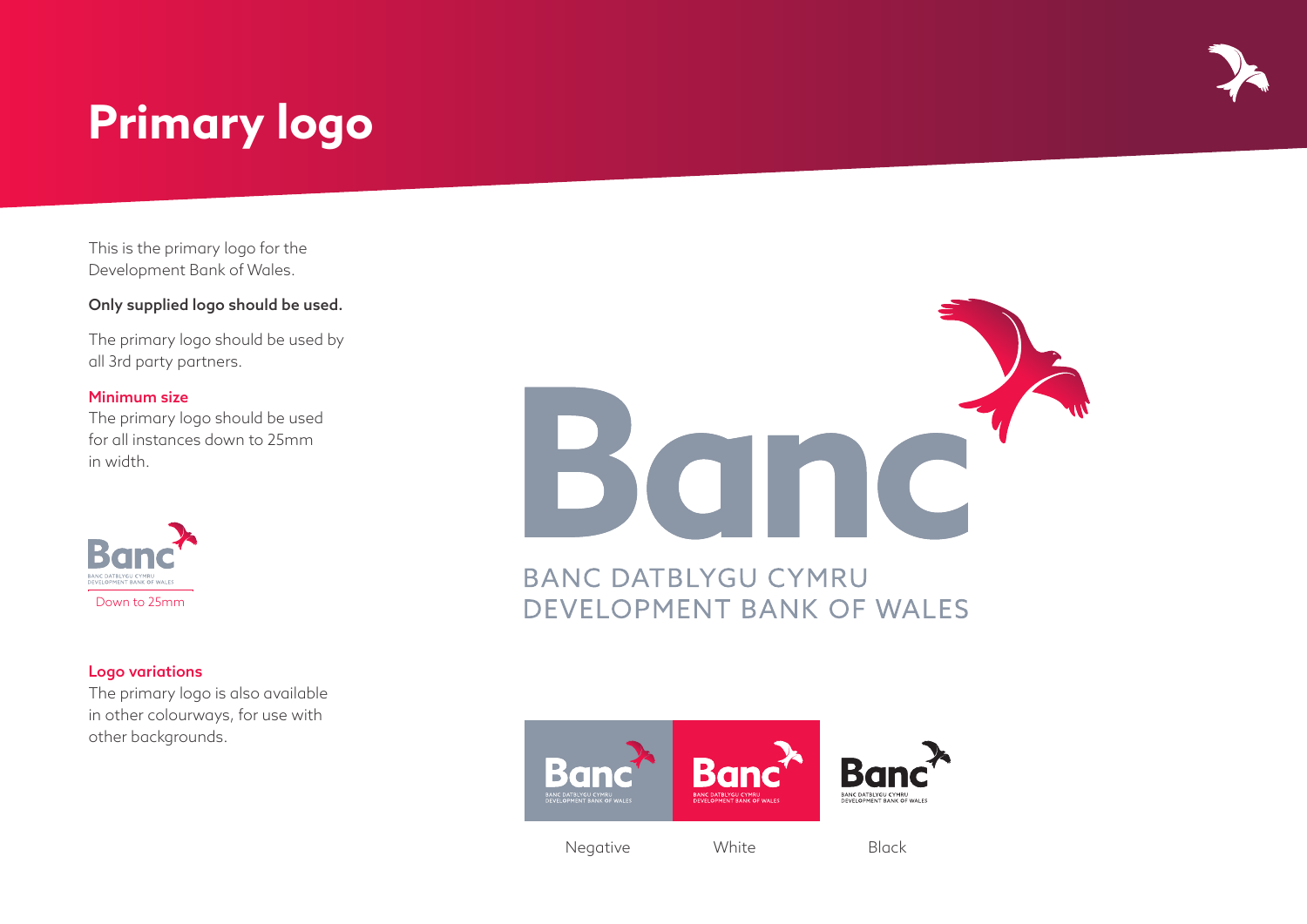# **Primary logo**

This is the primary logo for the Development Bank of Wales.

## Only supplied logo should be used.

The primary logo should be used by all 3rd party partners.

### Minimum size

The primary logo should be used for all instances down to 25mm in width.



### Logo variations

The primary logo is also available in other colourways, for use with other backgrounds.



**BANC DATBLYGU CYMRU** DEVELOPMENT BANK OF WALES



Negative White Black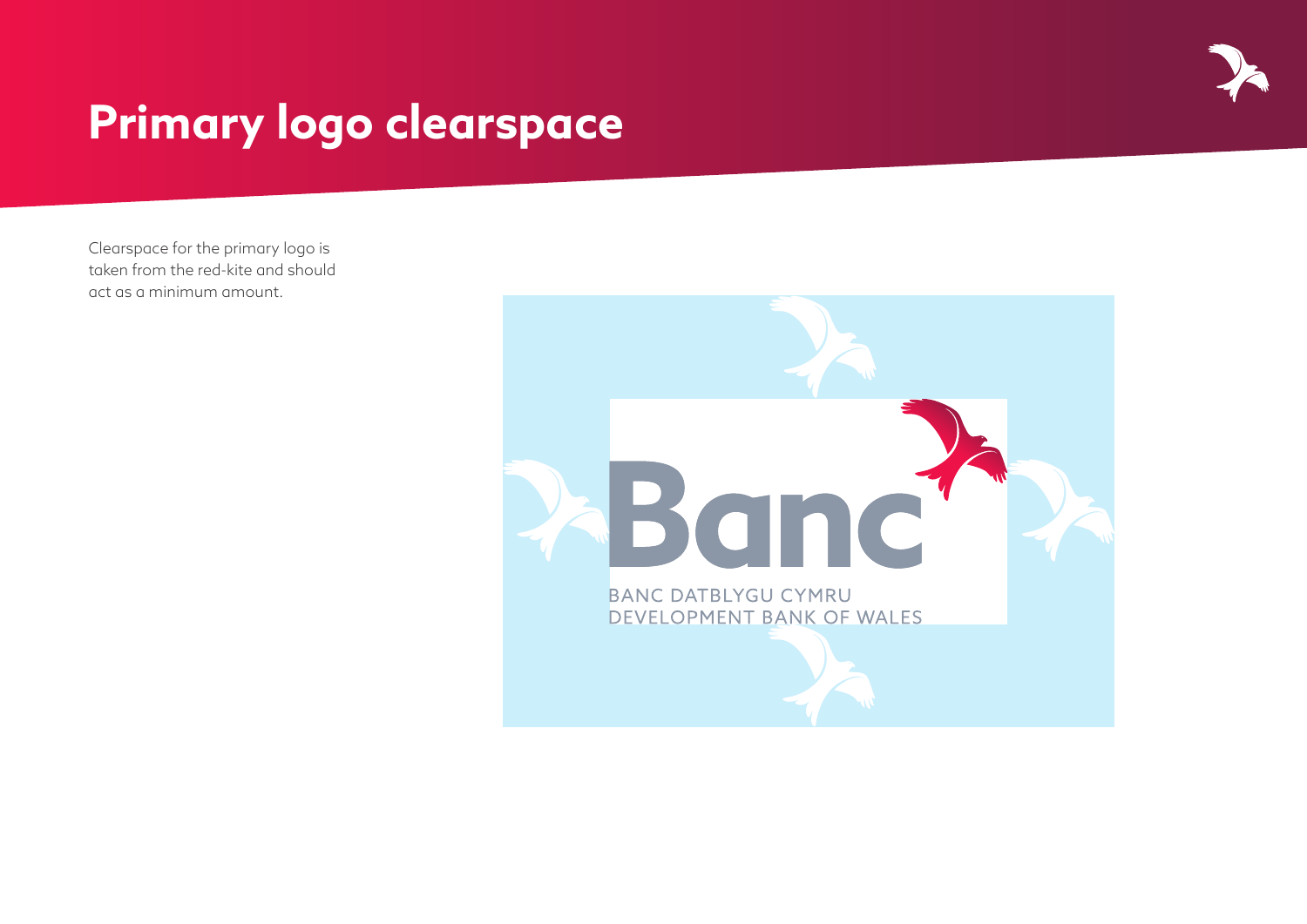# **Primary logo clearspace**

Clearspace for the primary logo is taken from the red-kite and should act as a minimum amount.

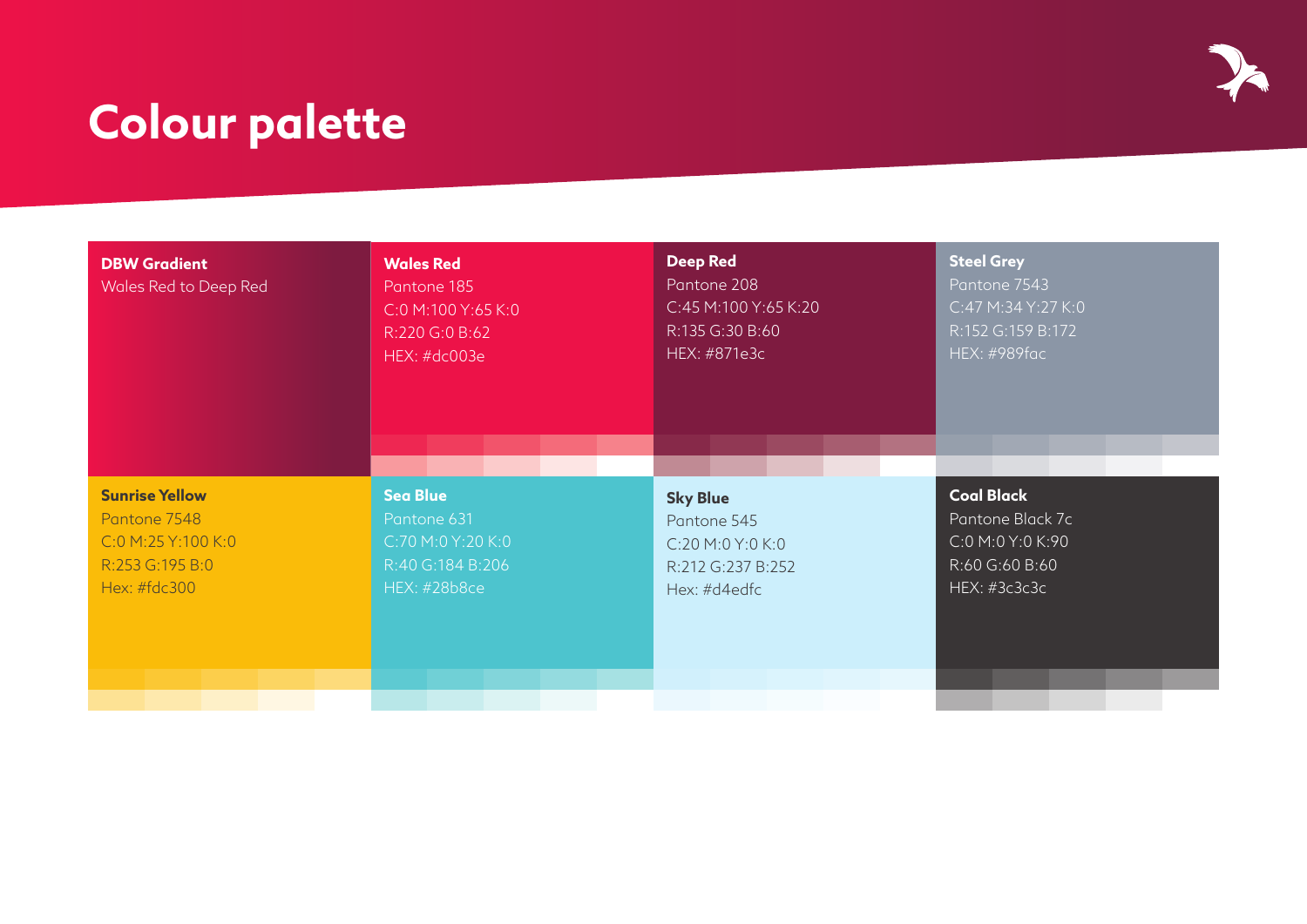# **Colour palette**

| <b>DBW Gradient</b><br>Wales Red to Deep Red | <b>Wales Red</b><br>Pantone 185<br>C:0 M:100 Y:65 K:0<br>R:220 G:0 B:62<br>HEX: #dc003e | <b>Deep Red</b><br>Pantone 208<br>C:45 M:100 Y:65 K:20<br>R:135 G:30 B:60<br>HEX: #871e3c | <b>Steel Grey</b><br>Pantone 7543<br>C:47 M:34 Y:27 K:0<br>R:152 G:159 B:172<br><b>HEX: #989fac</b> |  |
|----------------------------------------------|-----------------------------------------------------------------------------------------|-------------------------------------------------------------------------------------------|-----------------------------------------------------------------------------------------------------|--|
| <b>Sunrise Yellow</b>                        | <b>Sea Blue</b>                                                                         | <b>Sky Blue</b>                                                                           | <b>Coal Black</b>                                                                                   |  |
| Pantone 7548                                 | Pantone 631                                                                             | Pantone 545                                                                               | Pantone Black 7c                                                                                    |  |
| C:0 M:25 Y:100 K:0                           | C:70 M:0 Y:20 K:0                                                                       | C:20 M:0 Y:0 K:0                                                                          | C:0 M:0 Y:0 K:90                                                                                    |  |
| R:253 G:195 B:0                              | R:40 G:184 B:206                                                                        | R:212 G:237 B:252                                                                         | R:60 G:60 B:60                                                                                      |  |
| Hex: #fdc300                                 | <b>HEX: #28b8ce</b>                                                                     | Hex: #d4edfc                                                                              | HEX: #3c3c3c                                                                                        |  |

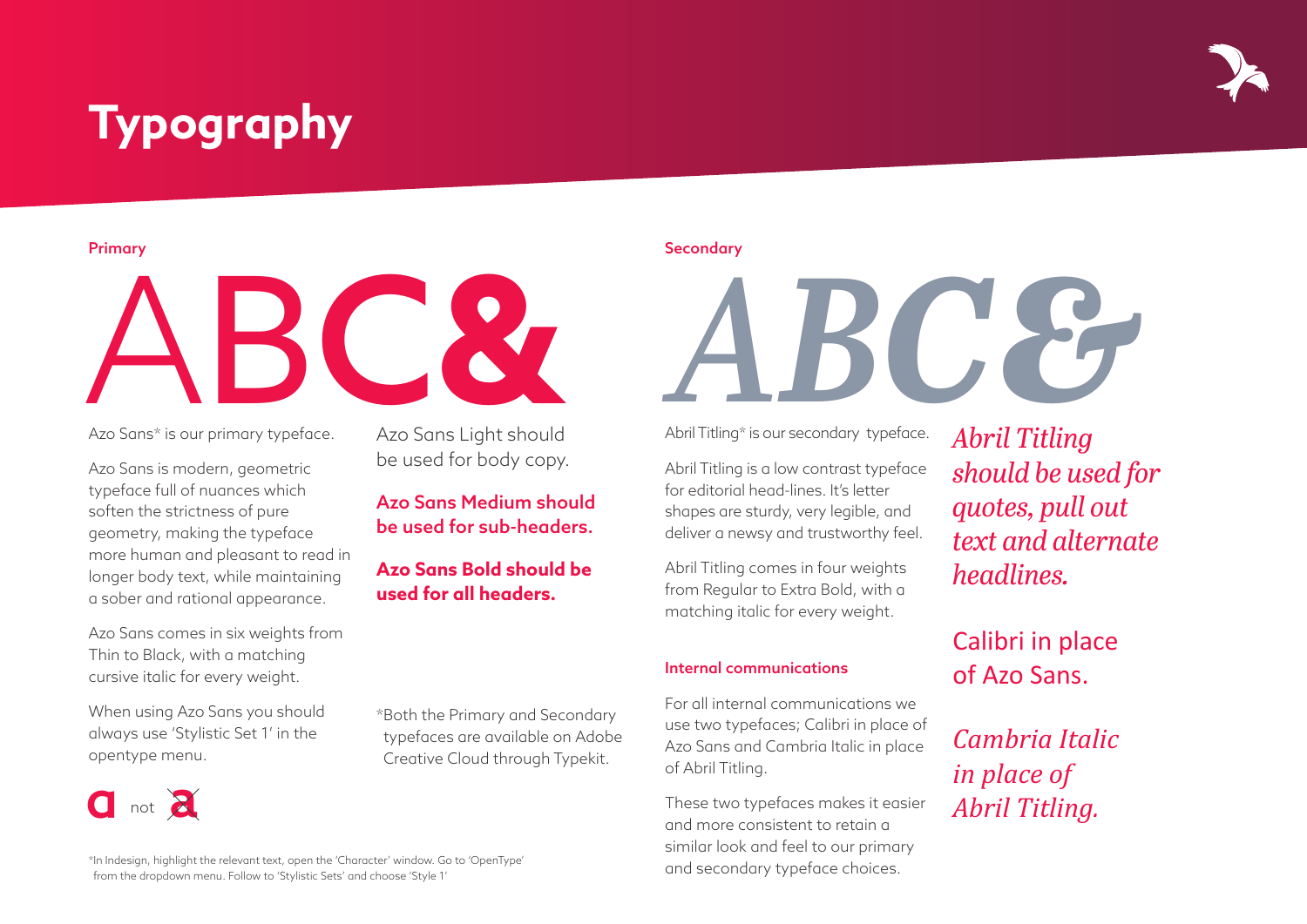# **Typography**

# Azo Sans<sup>\*</sup> is our primary typeface. Azo Sans Light should

Azo Sans\* is our primary typeface.

Azo Sans is modern, geometric typeface full of nuances which soften the strictness of pure geometry, making the typeface more human and pleasant to read in longer body text, while maintaining a sober and rational appearance.

Azo Sans comes in six weights from Thin to Black, with a matching cursive italic for every weight.

When using Azo Sans you should always use 'Stylistic Set 1' in the opentype menu.

**u** not  $\overline{a}$  not  $\overline{a}$  Azo Sans Light should be used for body copy.

# Azo Sans Medium should be used for sub-headers.

## **Azo Sans Bold should be used for all headers.**

\*Both the Primary and Secondary typefaces are available on Adobe Creative Cloud through Typekit.

#### \*In Indesign, highlight the relevant text, open the 'Character' window. Go to 'OpenType' from the dropdown menu. Follow to 'Stylistic Sets' and choose 'Style 1'

Primary Secondary Secondary Secondary Secondary Secondary Secondary Secondary Secondary

Abril Titling\* is our secondary typeface.

Abril Titling is a low contrast typeface for editorial head-lines. It's letter shapes are sturdy, very legible, and deliver a newsy and trustworthy feel.

Abril Titling comes in four weights from Regular to Extra Bold, with a matching italic for every weight.

#### Internal communications

For all internal communications we use two typefaces; Calibri in place of Azo Sans and Cambria Italic in place of Abril Titling.

These two typefaces makes it easier and more consistent to retain a similar look and feel to our primary and secondary typeface choices.

*Abril Titling should be used for quotes, pull out text and alternate headlines.*

Calibri in place of Azo Sans.

*Cambria Italic in place of Abril Titling.*